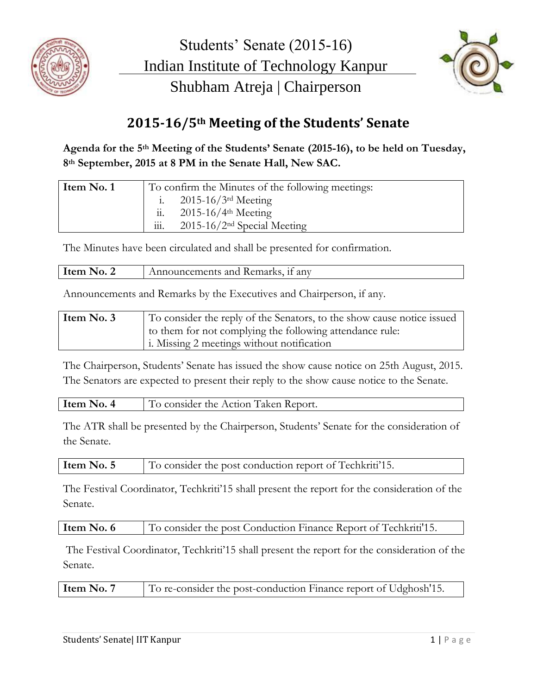



## **2015-16/5th Meeting of the Students' Senate**

**Agenda for the 5th Meeting of the Students' Senate (2015-16), to be held on Tuesday, 8th September, 2015 at 8 PM in the Senate Hall, New SAC.**

| Item No. 1 | To confirm the Minutes of the following meetings:                 |
|------------|-------------------------------------------------------------------|
|            | i. $2015-16/3$ <sup>rd</sup> Meeting                              |
|            | ii. $2015-16/4$ <sup>th</sup> Meeting                             |
|            | $\overline{111}$ .<br>$2015 - 16/2$ <sup>nd</sup> Special Meeting |

The Minutes have been circulated and shall be presented for confirmation.

| Item No. 2 | Announcements and Remarks, if any |
|------------|-----------------------------------|
|            |                                   |

Announcements and Remarks by the Executives and Chairperson, if any.

| Item No. 3 | To consider the reply of the Senators, to the show cause notice issued |
|------------|------------------------------------------------------------------------|
|            | I to them for not complying the following attendance rule:             |
|            | i. Missing 2 meetings without notification                             |

The Chairperson, Students' Senate has issued the show cause notice on 25th August, 2015. The Senators are expected to present their reply to the show cause notice to the Senate.

| Item No. 4<br>To consider the Action Taken Report. |  |
|----------------------------------------------------|--|
|----------------------------------------------------|--|

The ATR shall be presented by the Chairperson, Students' Senate for the consideration of the Senate.

**Item No. 5** To consider the post conduction report of Techkriti<sup>'</sup>15.

The Festival Coordinator, Techkriti'15 shall present the report for the consideration of the Senate.

| Item No. 6 |  |  |  | To consider the post Conduction Finance Report of Techkriti <sup>1</sup> 15. |
|------------|--|--|--|------------------------------------------------------------------------------|
|------------|--|--|--|------------------------------------------------------------------------------|

The Festival Coordinator, Techkriti'15 shall present the report for the consideration of the Senate.

| Item No. 7 | To re-consider the post-conduction Finance report of Udghosh'15. |
|------------|------------------------------------------------------------------|
|------------|------------------------------------------------------------------|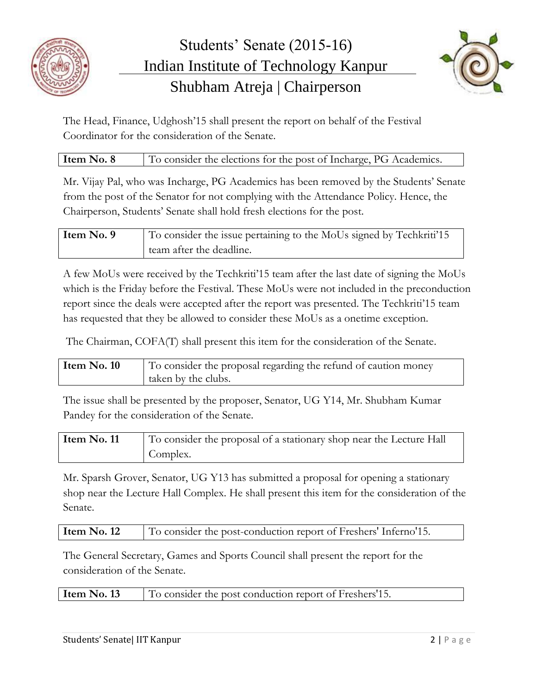



The Head, Finance, Udghosh'15 shall present the report on behalf of the Festival Coordinator for the consideration of the Senate.

| Item No. 8 | To consider the elections for the post of Incharge, PG Academics. |
|------------|-------------------------------------------------------------------|
|------------|-------------------------------------------------------------------|

Mr. Vijay Pal, who was Incharge, PG Academics has been removed by the Students' Senate from the post of the Senator for not complying with the Attendance Policy. Hence, the Chairperson, Students' Senate shall hold fresh elections for the post.

| Item No. 9 | To consider the issue pertaining to the MoUs signed by Techkriti'15 |
|------------|---------------------------------------------------------------------|
|            | team after the deadline.                                            |

A few MoUs were received by the Techkriti'15 team after the last date of signing the MoUs which is the Friday before the Festival. These MoUs were not included in the preconduction report since the deals were accepted after the report was presented. The Techkriti'15 team has requested that they be allowed to consider these MoUs as a onetime exception.

The Chairman, COFA(T) shall present this item for the consideration of the Senate.

| Item $No. 10$ | To consider the proposal regarding the refund of caution money |
|---------------|----------------------------------------------------------------|
|               | taken by the clubs.                                            |

The issue shall be presented by the proposer, Senator, UG Y14, Mr. Shubham Kumar Pandey for the consideration of the Senate.

| Item No. 11 | To consider the proposal of a stationary shop near the Lecture Hall |
|-------------|---------------------------------------------------------------------|
|             | Complex.                                                            |

Mr. Sparsh Grover, Senator, UG Y13 has submitted a proposal for opening a stationary shop near the Lecture Hall Complex. He shall present this item for the consideration of the Senate.

| Item No. 12 | To consider the post-conduction report of Freshers' Inferno'15. |
|-------------|-----------------------------------------------------------------|
|-------------|-----------------------------------------------------------------|

The General Secretary, Games and Sports Council shall present the report for the consideration of the Senate.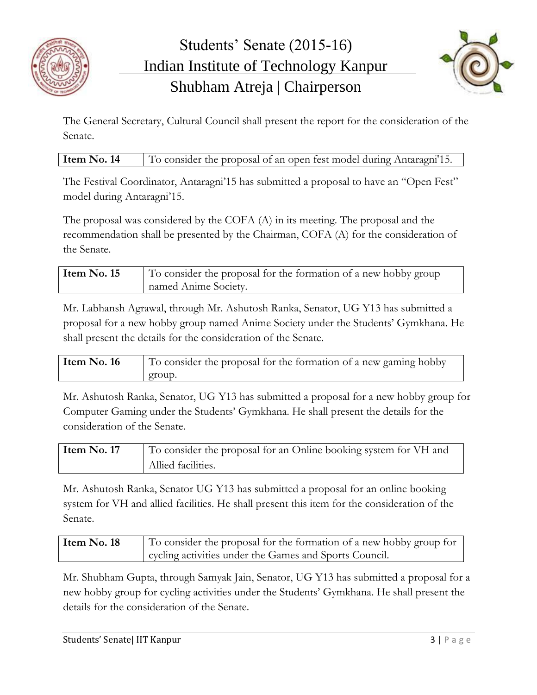



The General Secretary, Cultural Council shall present the report for the consideration of the Senate.

| Item No. 14 |  |  | To consider the proposal of an open fest model during Antaragni'15. |  |
|-------------|--|--|---------------------------------------------------------------------|--|
|-------------|--|--|---------------------------------------------------------------------|--|

The Festival Coordinator, Antaragni'15 has submitted a proposal to have an "Open Fest" model during Antaragni'15.

The proposal was considered by the COFA (A) in its meeting. The proposal and the recommendation shall be presented by the Chairman, COFA (A) for the consideration of the Senate.

| Item No. 15 | To consider the proposal for the formation of a new hobby group |
|-------------|-----------------------------------------------------------------|
|             | named Anime Society.                                            |

Mr. Labhansh Agrawal, through Mr. Ashutosh Ranka, Senator, UG Y13 has submitted a proposal for a new hobby group named Anime Society under the Students' Gymkhana. He shall present the details for the consideration of the Senate.

| Item No. 16 | To consider the proposal for the formation of a new gaming hobby |
|-------------|------------------------------------------------------------------|
|             | group.                                                           |

Mr. Ashutosh Ranka, Senator, UG Y13 has submitted a proposal for a new hobby group for Computer Gaming under the Students' Gymkhana. He shall present the details for the consideration of the Senate.

| Item No. 17 | To consider the proposal for an Online booking system for VH and |
|-------------|------------------------------------------------------------------|
|             | Allied facilities.                                               |

Mr. Ashutosh Ranka, Senator UG Y13 has submitted a proposal for an online booking system for VH and allied facilities. He shall present this item for the consideration of the Senate.

| Item No. 18 | To consider the proposal for the formation of a new hobby group for |
|-------------|---------------------------------------------------------------------|
|             | cycling activities under the Games and Sports Council.              |

Mr. Shubham Gupta, through Samyak Jain, Senator, UG Y13 has submitted a proposal for a new hobby group for cycling activities under the Students' Gymkhana. He shall present the details for the consideration of the Senate.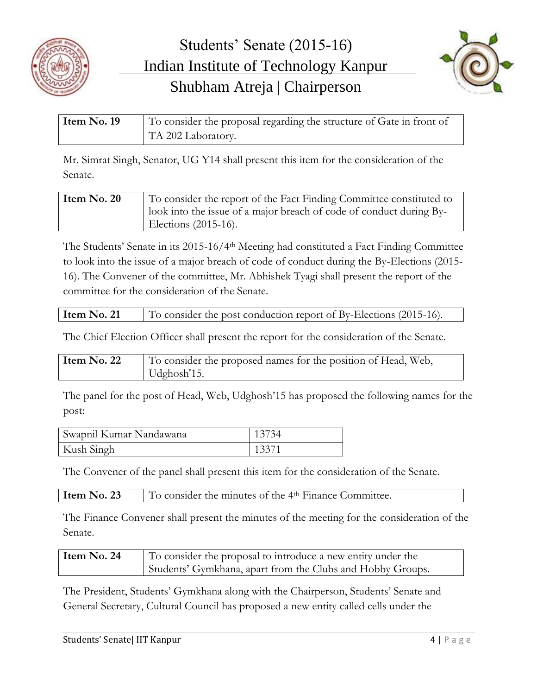



| Item No. 19 | To consider the proposal regarding the structure of Gate in front of |
|-------------|----------------------------------------------------------------------|
|             | TA 202 Laboratory.                                                   |

Mr. Simrat Singh, Senator, UG Y14 shall present this item for the consideration of the Senate.

| Item $No. 20$ | To consider the report of the Fact Finding Committee constituted to |
|---------------|---------------------------------------------------------------------|
|               | look into the issue of a major breach of code of conduct during By- |
|               | Elections $(2015-16)$ .                                             |

The Students' Senate in its 2015-16/4th Meeting had constituted a Fact Finding Committee to look into the issue of a major breach of code of conduct during the By-Elections (2015- 16). The Convener of the committee, Mr. Abhishek Tyagi shall present the report of the committee for the consideration of the Senate.

| Item $No. 21$ | $\vert$ To consider the post conduction report of By-Elections (2015-16). |  |
|---------------|---------------------------------------------------------------------------|--|
|---------------|---------------------------------------------------------------------------|--|

The Chief Election Officer shall present the report for the consideration of the Senate.

| Item No. 22 | To consider the proposed names for the position of Head, Web, |
|-------------|---------------------------------------------------------------|
|             | Udghosh'15.                                                   |

The panel for the post of Head, Web, Udghosh'15 has proposed the following names for the post:

| Swapnil Kumar Nandawana | 13734 |
|-------------------------|-------|
| Kush Singh              | 13371 |

The Convener of the panel shall present this item for the consideration of the Senate.

| To consider the minutes of the 4 <sup>th</sup> Finance Committee.<br>Item $No. 23$ |  |
|------------------------------------------------------------------------------------|--|
|------------------------------------------------------------------------------------|--|

The Finance Convener shall present the minutes of the meeting for the consideration of the Senate.

| Item No. 24 | To consider the proposal to introduce a new entity under the |
|-------------|--------------------------------------------------------------|
|             | Students' Gymkhana, apart from the Clubs and Hobby Groups.   |

The President, Students' Gymkhana along with the Chairperson, Students' Senate and General Secretary, Cultural Council has proposed a new entity called cells under the